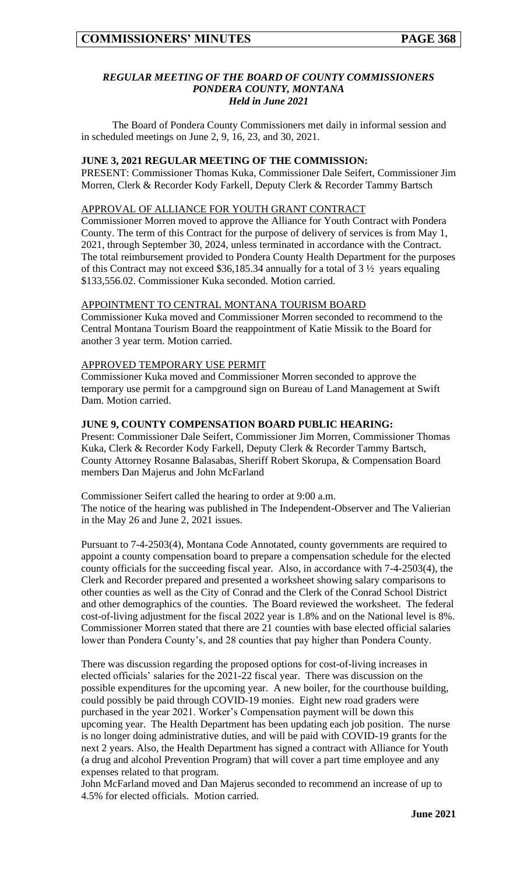#### *REGULAR MEETING OF THE BOARD OF COUNTY COMMISSIONERS PONDERA COUNTY, MONTANA Held in June 2021*

The Board of Pondera County Commissioners met daily in informal session and in scheduled meetings on June 2, 9, 16, 23, and 30, 2021.

#### **JUNE 3, 2021 REGULAR MEETING OF THE COMMISSION:**

PRESENT: Commissioner Thomas Kuka, Commissioner Dale Seifert, Commissioner Jim Morren, Clerk & Recorder Kody Farkell, Deputy Clerk & Recorder Tammy Bartsch

#### APPROVAL OF ALLIANCE FOR YOUTH GRANT CONTRACT

Commissioner Morren moved to approve the Alliance for Youth Contract with Pondera County. The term of this Contract for the purpose of delivery of services is from May 1, 2021, through September 30, 2024, unless terminated in accordance with the Contract. The total reimbursement provided to Pondera County Health Department for the purposes of this Contract may not exceed \$36,185.34 annually for a total of  $3\frac{1}{2}$  years equaling \$133,556.02. Commissioner Kuka seconded. Motion carried.

#### APPOINTMENT TO CENTRAL MONTANA TOURISM BOARD

Commissioner Kuka moved and Commissioner Morren seconded to recommend to the Central Montana Tourism Board the reappointment of Katie Missik to the Board for another 3 year term. Motion carried.

#### APPROVED TEMPORARY USE PERMIT

Commissioner Kuka moved and Commissioner Morren seconded to approve the temporary use permit for a campground sign on Bureau of Land Management at Swift Dam. Motion carried.

## **JUNE 9, COUNTY COMPENSATION BOARD PUBLIC HEARING:**

Present: Commissioner Dale Seifert, Commissioner Jim Morren, Commissioner Thomas Kuka, Clerk & Recorder Kody Farkell, Deputy Clerk & Recorder Tammy Bartsch, County Attorney Rosanne Balasabas, Sheriff Robert Skorupa, & Compensation Board members Dan Majerus and John McFarland

Commissioner Seifert called the hearing to order at 9:00 a.m.

The notice of the hearing was published in The Independent-Observer and The Valierian in the May 26 and June 2, 2021 issues.

Pursuant to 7-4-2503(4), Montana Code Annotated, county governments are required to appoint a county compensation board to prepare a compensation schedule for the elected county officials for the succeeding fiscal year. Also, in accordance with 7-4-2503(4), the Clerk and Recorder prepared and presented a worksheet showing salary comparisons to other counties as well as the City of Conrad and the Clerk of the Conrad School District and other demographics of the counties. The Board reviewed the worksheet. The federal cost-of-living adjustment for the fiscal 2022 year is 1.8% and on the National level is 8%. Commissioner Morren stated that there are 21 counties with base elected official salaries lower than Pondera County's, and 28 counties that pay higher than Pondera County.

There was discussion regarding the proposed options for cost-of-living increases in elected officials' salaries for the 2021-22 fiscal year. There was discussion on the possible expenditures for the upcoming year. A new boiler, for the courthouse building, could possibly be paid through COVID-19 monies. Eight new road graders were purchased in the year 2021. Worker's Compensation payment will be down this upcoming year. The Health Department has been updating each job position. The nurse is no longer doing administrative duties, and will be paid with COVID-19 grants for the next 2 years. Also, the Health Department has signed a contract with Alliance for Youth (a drug and alcohol Prevention Program) that will cover a part time employee and any expenses related to that program.

John McFarland moved and Dan Majerus seconded to recommend an increase of up to 4.5% for elected officials. Motion carried.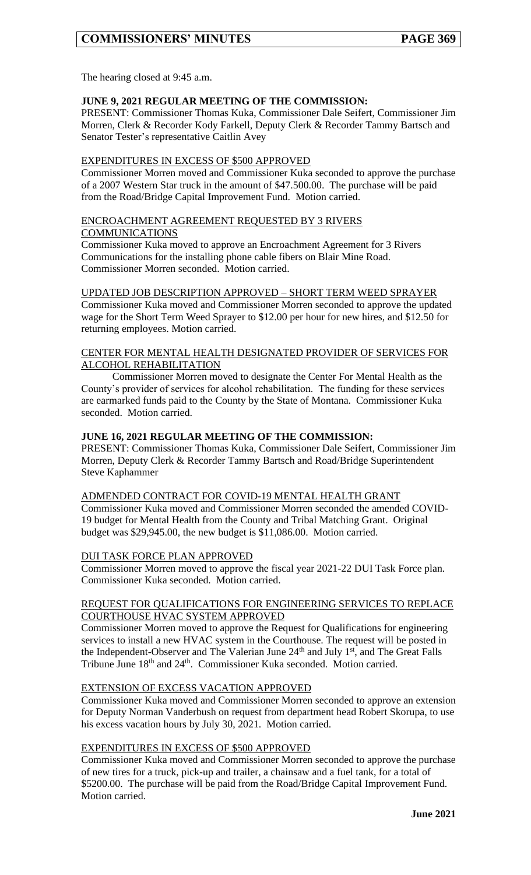The hearing closed at 9:45 a.m.

## **JUNE 9, 2021 REGULAR MEETING OF THE COMMISSION:**

PRESENT: Commissioner Thomas Kuka, Commissioner Dale Seifert, Commissioner Jim Morren, Clerk & Recorder Kody Farkell, Deputy Clerk & Recorder Tammy Bartsch and Senator Tester's representative Caitlin Avey

### EXPENDITURES IN EXCESS OF \$500 APPROVED

Commissioner Morren moved and Commissioner Kuka seconded to approve the purchase of a 2007 Western Star truck in the amount of \$47.500.00. The purchase will be paid from the Road/Bridge Capital Improvement Fund. Motion carried.

#### ENCROACHMENT AGREEMENT REQUESTED BY 3 RIVERS **COMMUNICATIONS**

Commissioner Kuka moved to approve an Encroachment Agreement for 3 Rivers Communications for the installing phone cable fibers on Blair Mine Road. Commissioner Morren seconded. Motion carried.

## UPDATED JOB DESCRIPTION APPROVED – SHORT TERM WEED SPRAYER

Commissioner Kuka moved and Commissioner Morren seconded to approve the updated wage for the Short Term Weed Sprayer to \$12.00 per hour for new hires, and \$12.50 for returning employees. Motion carried.

#### CENTER FOR MENTAL HEALTH DESIGNATED PROVIDER OF SERVICES FOR ALCOHOL REHABILITATION

Commissioner Morren moved to designate the Center For Mental Health as the County's provider of services for alcohol rehabilitation. The funding for these services are earmarked funds paid to the County by the State of Montana. Commissioner Kuka seconded. Motion carried.

## **JUNE 16, 2021 REGULAR MEETING OF THE COMMISSION:**

PRESENT: Commissioner Thomas Kuka, Commissioner Dale Seifert, Commissioner Jim Morren, Deputy Clerk & Recorder Tammy Bartsch and Road/Bridge Superintendent Steve Kaphammer

#### ADMENDED CONTRACT FOR COVID-19 MENTAL HEALTH GRANT

Commissioner Kuka moved and Commissioner Morren seconded the amended COVID-19 budget for Mental Health from the County and Tribal Matching Grant. Original budget was \$29,945.00, the new budget is \$11,086.00. Motion carried.

#### DUI TASK FORCE PLAN APPROVED

Commissioner Morren moved to approve the fiscal year 2021-22 DUI Task Force plan. Commissioner Kuka seconded. Motion carried.

## REQUEST FOR QUALIFICATIONS FOR ENGINEERING SERVICES TO REPLACE COURTHOUSE HVAC SYSTEM APPROVED

Commissioner Morren moved to approve the Request for Qualifications for engineering services to install a new HVAC system in the Courthouse. The request will be posted in the Independent-Observer and The Valerian June 24<sup>th</sup> and July 1<sup>st</sup>, and The Great Falls Tribune June 18<sup>th</sup> and 24<sup>th</sup>. Commissioner Kuka seconded. Motion carried.

## EXTENSION OF EXCESS VACATION APPROVED

Commissioner Kuka moved and Commissioner Morren seconded to approve an extension for Deputy Norman Vanderbush on request from department head Robert Skorupa, to use his excess vacation hours by July 30, 2021. Motion carried.

#### EXPENDITURES IN EXCESS OF \$500 APPROVED

Commissioner Kuka moved and Commissioner Morren seconded to approve the purchase of new tires for a truck, pick-up and trailer, a chainsaw and a fuel tank, for a total of \$5200.00. The purchase will be paid from the Road/Bridge Capital Improvement Fund. Motion carried.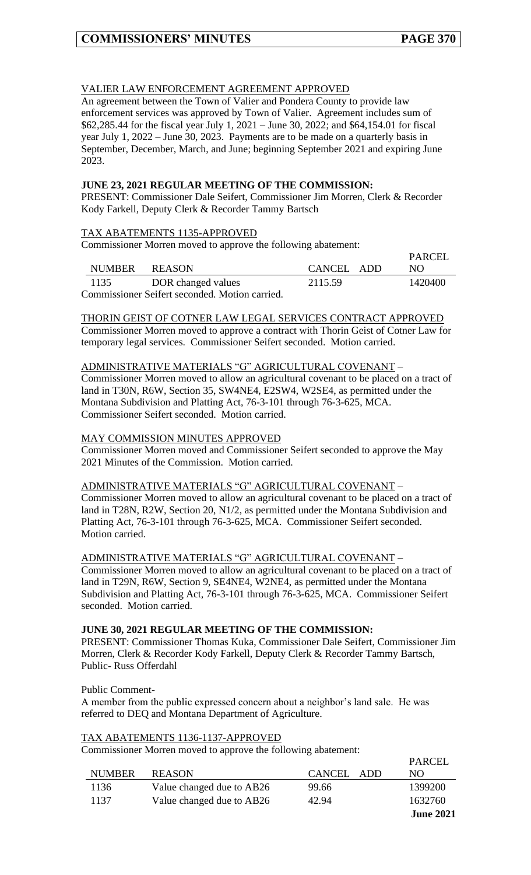$\overline{P}$ ADCEL

 $DADCH$ 

### VALIER LAW ENFORCEMENT AGREEMENT APPROVED

An agreement between the Town of Valier and Pondera County to provide law enforcement services was approved by Town of Valier. Agreement includes sum of \$62,285.44 for the fiscal year July 1, 2021 – June 30, 2022; and \$64,154.01 for fiscal year July 1, 2022 – June 30, 2023. Payments are to be made on a quarterly basis in September, December, March, and June; beginning September 2021 and expiring June 2023.

#### **JUNE 23, 2021 REGULAR MEETING OF THE COMMISSION:**

PRESENT: Commissioner Dale Seifert, Commissioner Jim Morren, Clerk & Recorder Kody Farkell, Deputy Clerk & Recorder Tammy Bartsch

#### TAX ABATEMENTS 1135-APPROVED

Commissioner Morren moved to approve the following abatement:

|                                              |               |                    |            | PARCEL  |  |  |  |
|----------------------------------------------|---------------|--------------------|------------|---------|--|--|--|
|                                              | <b>NUMBER</b> | <b>REASON</b>      | CANCEL ADD | NO.     |  |  |  |
|                                              | 1135          | DOR changed values | 2115.59    | 1420400 |  |  |  |
| Commissioner Seifert seconded Motion carried |               |                    |            |         |  |  |  |

Commissioner Seifert seconded. Motion carried.

THORIN GEIST OF COTNER LAW LEGAL SERVICES CONTRACT APPROVED Commissioner Morren moved to approve a contract with Thorin Geist of Cotner Law for temporary legal services. Commissioner Seifert seconded. Motion carried.

## ADMINISTRATIVE MATERIALS "G" AGRICULTURAL COVENANT –

Commissioner Morren moved to allow an agricultural covenant to be placed on a tract of land in T30N, R6W, Section 35, SW4NE4, E2SW4, W2SE4, as permitted under the Montana Subdivision and Platting Act, 76-3-101 through 76-3-625, MCA. Commissioner Seifert seconded. Motion carried.

#### MAY COMMISSION MINUTES APPROVED

Commissioner Morren moved and Commissioner Seifert seconded to approve the May 2021 Minutes of the Commission. Motion carried.

## ADMINISTRATIVE MATERIALS "G" AGRICULTURAL COVENANT –

Commissioner Morren moved to allow an agricultural covenant to be placed on a tract of land in T28N, R2W, Section 20, N1/2, as permitted under the Montana Subdivision and Platting Act, 76-3-101 through 76-3-625, MCA. Commissioner Seifert seconded. Motion carried.

#### ADMINISTRATIVE MATERIALS "G" AGRICULTURAL COVENANT –

Commissioner Morren moved to allow an agricultural covenant to be placed on a tract of land in T29N, R6W, Section 9, SE4NE4, W2NE4, as permitted under the Montana Subdivision and Platting Act, 76-3-101 through 76-3-625, MCA. Commissioner Seifert seconded. Motion carried.

#### **JUNE 30, 2021 REGULAR MEETING OF THE COMMISSION:**

PRESENT: Commissioner Thomas Kuka, Commissioner Dale Seifert, Commissioner Jim Morren, Clerk & Recorder Kody Farkell, Deputy Clerk & Recorder Tammy Bartsch, Public- Russ Offerdahl

Public Comment-

A member from the public expressed concern about a neighbor's land sale. He was referred to DEQ and Montana Department of Agriculture.

#### TAX ABATEMENTS 1136-1137-APPROVED

Commissioner Morren moved to approve the following abatement:

|               |                           |            | <b>June 2021</b> |
|---------------|---------------------------|------------|------------------|
| 1137          | Value changed due to AB26 | 42.94      | 1632760          |
| 1136          | Value changed due to AB26 | 99.66      | 1399200          |
| <b>NUMBER</b> | <b>REASON</b>             | CANCEL ADD | NO.              |
|               |                           |            | FANCEL           |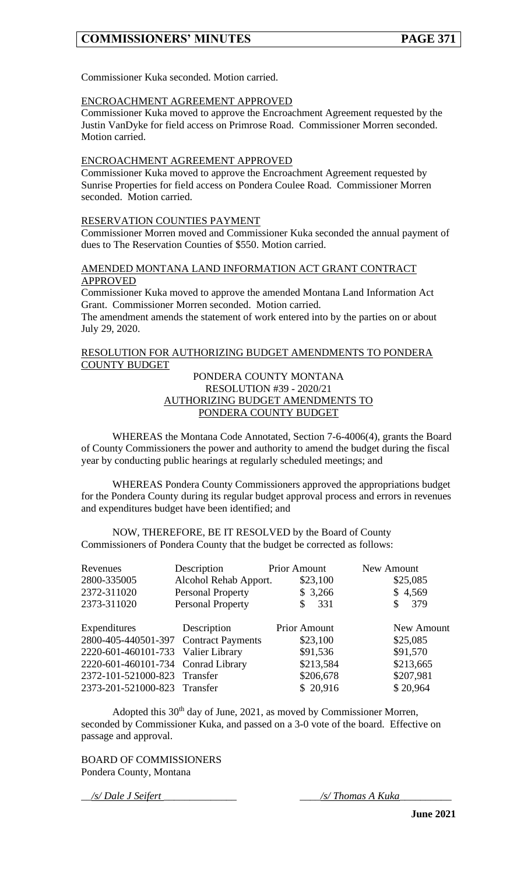Commissioner Kuka seconded. Motion carried.

#### ENCROACHMENT AGREEMENT APPROVED

Commissioner Kuka moved to approve the Encroachment Agreement requested by the Justin VanDyke for field access on Primrose Road. Commissioner Morren seconded. Motion carried.

#### ENCROACHMENT AGREEMENT APPROVED

Commissioner Kuka moved to approve the Encroachment Agreement requested by Sunrise Properties for field access on Pondera Coulee Road. Commissioner Morren seconded. Motion carried.

#### RESERVATION COUNTIES PAYMENT

Commissioner Morren moved and Commissioner Kuka seconded the annual payment of dues to The Reservation Counties of \$550. Motion carried.

## AMENDED MONTANA LAND INFORMATION ACT GRANT CONTRACT **APPROVED**

Commissioner Kuka moved to approve the amended Montana Land Information Act Grant. Commissioner Morren seconded. Motion carried.

The amendment amends the statement of work entered into by the parties on or about July 29, 2020.

#### RESOLUTION FOR AUTHORIZING BUDGET AMENDMENTS TO PONDERA COUNTY BUDGET

#### PONDERA COUNTY MONTANA RESOLUTION #39 - 2020/21 AUTHORIZING BUDGET AMENDMENTS TO PONDERA COUNTY BUDGET

WHEREAS the Montana Code Annotated, Section 7-6-4006(4), grants the Board of County Commissioners the power and authority to amend the budget during the fiscal year by conducting public hearings at regularly scheduled meetings; and

WHEREAS Pondera County Commissioners approved the appropriations budget for the Pondera County during its regular budget approval process and errors in revenues and expenditures budget have been identified; and

NOW, THEREFORE, BE IT RESOLVED by the Board of County Commissioners of Pondera County that the budget be corrected as follows:

| Revenues                              | Description              | <b>Prior Amount</b> | New Amount |
|---------------------------------------|--------------------------|---------------------|------------|
| 2800-335005                           | Alcohol Rehab Apport.    | \$23,100            | \$25,085   |
| 2372-311020                           | <b>Personal Property</b> | \$3,266             | \$4,569    |
| 2373-311020                           | <b>Personal Property</b> | 331<br>\$           | 379<br>\$  |
| Expenditures                          | Description              | <b>Prior Amount</b> | New Amount |
| 2800-405-440501-397 Contract Payments |                          | \$23,100            | \$25,085   |
| 2220-601-460101-733 Valier Library    |                          | \$91,536            | \$91,570   |
| 2220-601-460101-734 Conrad Library    |                          | \$213,584           | \$213,665  |
| 2372-101-521000-823 Transfer          |                          | \$206,678           | \$207,981  |
| 2373-201-521000-823 Transfer          |                          | \$20,916            | \$20,964   |

Adopted this  $30<sup>th</sup>$  day of June, 2021, as moved by Commissioner Morren, seconded by Commissioner Kuka, and passed on a 3-0 vote of the board. Effective on passage and approval.

BOARD OF COMMISSIONERS Pondera County, Montana

\_\_*/s/ Dale J Seifert* \_\_\_\_\_\_\_\_\_\_\_\_\_\_ \_\_\_\_*/s/ Thomas A Kuka*\_\_\_\_\_\_\_\_\_\_

**June 2021**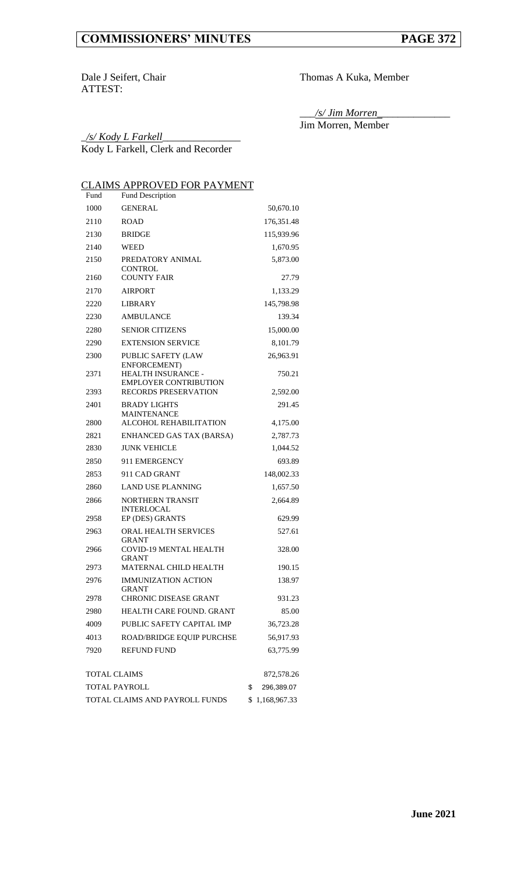ATTEST:

Dale J Seifert, Chair Thomas A Kuka, Member

\_\_\_*/s/ Jim Morren*\_\_\_\_\_\_\_\_\_\_\_\_\_\_ Jim Morren, Member

\_*/s/ Kody L Farkell*\_\_\_\_\_\_\_\_\_\_\_\_\_\_\_ Kody L Farkell, Clerk and Recorder

## CLAIMS APPROVED FOR PAYMENT

| Fund                           | Fund Description                                   |            |
|--------------------------------|----------------------------------------------------|------------|
| 1000                           | <b>GENERAL</b>                                     | 50,670.10  |
| 2110                           | <b>ROAD</b>                                        | 176,351.48 |
| 2130                           | <b>BRIDGE</b>                                      | 115,939.96 |
| 2140                           | <b>WEED</b>                                        | 1,670.95   |
| 2150                           | PREDATORY ANIMAL<br><b>CONTROL</b>                 | 5,873.00   |
| 2160                           | <b>COUNTY FAIR</b>                                 | 27.79      |
| 2170                           | <b>AIRPORT</b>                                     | 1,133.29   |
| 2220                           | <b>LIBRARY</b>                                     | 145,798.98 |
| 2230                           | AMBULANCE                                          | 139.34     |
| 2280                           | <b>SENIOR CITIZENS</b>                             | 15,000.00  |
| 2290                           | <b>EXTENSION SERVICE</b>                           | 8,101.79   |
| 2300                           | <b>PUBLIC SAFETY (LAW</b><br>ENFORCEMENT)          | 26,963.91  |
| 2371                           | HEALTH INSURANCE -<br><b>EMPLOYER CONTRIBUTION</b> | 750.21     |
| 2393                           | RECORDS PRESERVATION                               | 2,592.00   |
| 2401                           | <b>BRADY LIGHTS</b><br><b>MAINTENANCE</b>          | 291.45     |
| 2800                           | ALCOHOL REHABILITATION                             | 4,175.00   |
| 2821                           | ENHANCED GAS TAX (BARSA)                           | 2,787.73   |
| 2830                           | <b>JUNK VEHICLE</b>                                | 1,044.52   |
| 2850                           | 911 EMERGENCY                                      | 693.89     |
| 2853                           | 911 CAD GRANT                                      | 148,002.33 |
| 2860                           | <b>LAND USE PLANNING</b>                           | 1,657.50   |
| 2866                           | <b>NORTHERN TRANSIT</b><br><b>INTERLOCAL</b>       | 2,664.89   |
| 2958                           | EP (DES) GRANTS                                    | 629.99     |
| 2963                           | ORAL HEALTH SERVICES<br><b>GRANT</b>               | 527.61     |
| 2966                           | COVID-19 MENTAL HEALTH<br><b>GRANT</b>             | 328.00     |
| 2973                           | MATERNAL CHILD HEALTH                              | 190.15     |
| 2976                           | <b>IMMUNIZATION ACTION</b><br>GRANT                | 138.97     |
| 2978                           | CHRONIC DISEASE GRANT                              | 931.23     |
| 2980                           | HEALTH CARE FOUND. GRANT                           | 85.00      |
| 4009                           | PUBLIC SAFETY CAPITAL IMP                          | 36,723.28  |
| 4013                           | ROAD/BRIDGE EQUIP PURCHSE                          | 56,917.93  |
| 7920                           | <b>REFUND FUND</b>                                 | 63,775.99  |
| <b>TOTAL CLAIMS</b>            | 872,578.26                                         |            |
| TOTAL PAYROLL                  | \$<br>296,389.07                                   |            |
| TOTAL CLAIMS AND PAYROLL FUNDS | \$1,168,967.33                                     |            |